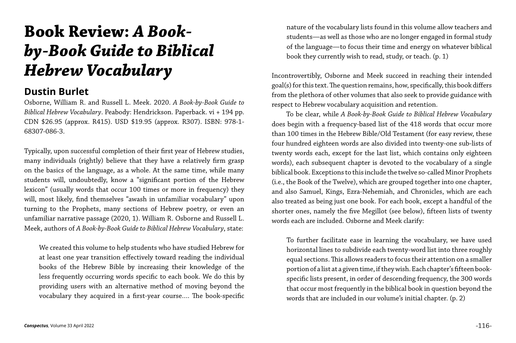## **Book Review:** *A Bookby-Book Guide to Biblical Hebrew Vocabulary*

## **Dustin Burlet**

Osborne, William R. and Russell L. Meek. 2020. *A Book-by-Book Guide to Biblical Hebrew Vocabulary*. Peabody: Hendrickson. Paperback. vi + 194 pp. CDN \$26.95 (approx. R415). USD \$19.95 (approx. R307). ISBN: 978-1- 68307-086-3.

Typically, upon successful completion of their first year of Hebrew studies, many individuals (rightly) believe that they have a relatively firm grasp on the basics of the language, as a whole. At the same time, while many students will, undoubtedly, know a "significant portion of the Hebrew lexicon" (usually words that occur 100 times or more in frequency) they will, most likely, find themselves "awash in unfamiliar vocabulary" upon turning to the Prophets, many sections of Hebrew poetry, or even an unfamiliar narrative passage (2020, 1). William R. Osborne and Russell L. Meek, authors of *A Book-by-Book Guide to Biblical Hebrew Vocabulary*, state:

We created this volume to help students who have studied Hebrew for at least one year transition effectively toward reading the individual books of the Hebrew Bible by increasing their knowledge of the less frequently occurring words specific to each book. We do this by providing users with an alternative method of moving beyond the vocabulary they acquired in a first-year course…. The book-specific nature of the vocabulary lists found in this volume allow teachers and students—as well as those who are no longer engaged in formal study of the language—to focus their time and energy on whatever biblical book they currently wish to read, study, or teach. (p. 1)

Incontrovertibly, Osborne and Meek succeed in reaching their intended goal(s) for this text. The question remains, how, specifically, this book differs from the plethora of other volumes that also seek to provide guidance with respect to Hebrew vocabulary acquisition and retention.

To be clear, while *A Book-by-Book Guide to Biblical Hebrew Vocabulary*  does begin with a frequency-based list of the 418 words that occur more than 100 times in the Hebrew Bible/Old Testament (for easy review, these four hundred eighteen words are also divided into twenty-one sub-lists of twenty words each, except for the last list, which contains only eighteen words), each subsequent chapter is devoted to the vocabulary of a single biblical book. Exceptions to this include the twelve so-called Minor Prophets (i.e., the Book of the Twelve), which are grouped together into one chapter, and also Samuel, Kings, Ezra-Nehemiah, and Chronicles, which are each also treated as being just one book. For each book, except a handful of the shorter ones, namely the five Megillot (see below), fifteen lists of twenty words each are included. Osborne and Meek clarify:

To further facilitate ease in learning the vocabulary, we have used horizontal lines to subdivide each twenty-word list into three roughly equal sections. This allows readers to focus their attention on a smaller portion of a list at a given time, if they wish. Each chapter's fifteen bookspecific lists present, in order of descending frequency, the 300 words that occur most frequently in the biblical book in question beyond the words that are included in our volume's initial chapter. (p. 2)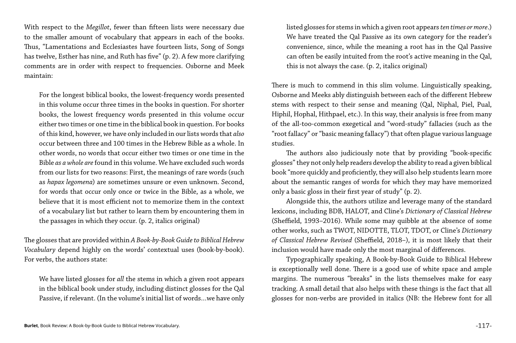With respect to the *Megillot*, fewer than fifteen lists were necessary due to the smaller amount of vocabulary that appears in each of the books. Thus, "Lamentations and Ecclesiastes have fourteen lists, Song of Songs has twelve, Esther has nine, and Ruth has five" (p. 2). A few more clarifying comments are in order with respect to frequencies. Osborne and Meek maintain:

For the longest biblical books, the lowest-frequency words presented in this volume occur three times in the books in question. For shorter books, the lowest frequency words presented in this volume occur either two times or one time in the biblical book in question. For books of this kind, however, we have only included in our lists words that *also* occur between three and 100 times in the Hebrew Bible as a whole. In other words, no words that occur either two times or one time in the Bible *as a whole are* found in this volume. We have excluded such words from our lists for two reasons: First, the meanings of rare words (such as *hapax legomena*) are sometimes unsure or even unknown. Second, for words that occur only once or twice in the Bible, as a whole, we believe that it is most efficient not to memorize them in the context of a vocabulary list but rather to learn them by encountering them in the passages in which they occur. (p. 2, italics original)

The glosses that are provided within *A Book-by-Book Guide to Biblical Hebrew Vocabulary* depend highly on the words' contextual uses (book-by-book). For verbs, the authors state:

We have listed glosses for *all* the stems in which a given root appears in the biblical book under study, including distinct glosses for the Qal Passive, if relevant. (In the volume's initial list of words…we have only listed glosses for stems in which a given root appears *ten times or more*.) We have treated the Qal Passive as its own category for the reader's convenience, since, while the meaning a root has in the Qal Passive can often be easily intuited from the root's active meaning in the Qal, this is not always the case. (p. 2, italics original)

There is much to commend in this slim volume. Linguistically speaking, Osborne and Meeks ably distinguish between each of the different Hebrew stems with respect to their sense and meaning (Qal, Niphal, Piel, Pual, Hiphil, Hophal, Hithpael, etc.). In this way, their analysis is free from many of the all-too-common exegetical and "word-study" fallacies (such as the "root fallacy" or "basic meaning fallacy") that often plague various language studies.

The authors also judiciously note that by providing "book-specific glosses" they not only help readers develop the ability to read a given biblical book "more quickly and proficiently, they will also help students learn more about the semantic ranges of words for which they may have memorized only a basic gloss in their first year of study" (p. 2).

Alongside this, the authors utilize and leverage many of the standard lexicons, including BDB, HALOT, and Cline's *Dictionary of Classical Hebrew*  (Sheffield, 1993–2016). While some may quibble at the absence of some other works, such as TWOT, NIDOTTE, TLOT, TDOT, or Cline's *Dictionary of Classical Hebrew Revised* (Sheffield, 2018–), it is most likely that their inclusion would have made only the most marginal of differences.

Typographically speaking, A Book-by-Book Guide to Biblical Hebrew is exceptionally well done. There is a good use of white space and ample margins. The numerous "breaks" in the lists themselves make for easy tracking. A small detail that also helps with these things is the fact that all glosses for non-verbs are provided in italics (NB: the Hebrew font for all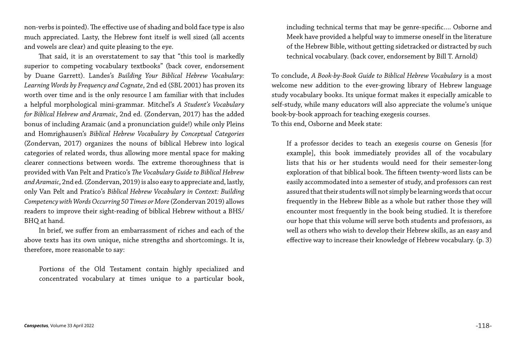non-verbs is pointed). The effective use of shading and bold face type is also much appreciated. Lasty, the Hebrew font itself is well sized (all accents and vowels are clear) and quite pleasing to the eye.

That said, it is an overstatement to say that "this tool is markedly superior to competing vocabulary textbooks" (back cover, endorsement by Duane Garrett). Landes's *Building Your Biblical Hebrew Vocabulary: Learning Words by Frequency and Cognate*, 2nd ed (SBL 2001) has proven its worth over time and is the only resource I am familiar with that includes a helpful morphological mini-grammar. Mitchel's *A Student's Vocabulary for Biblical Hebrew and Aramaic*, 2nd ed. (Zondervan, 2017) has the added bonus of including Aramaic (and a pronunciation guide!) while only Pleins and Homrighausen's *Biblical Hebrew Vocabulary by Conceptual Categories*  (Zondervan, 2017) organizes the nouns of biblical Hebrew into logical categories of related words, thus allowing more mental space for making clearer connections between words. The extreme thoroughness that is provided with Van Pelt and Pratico's *The Vocabulary Guide to Biblical Hebrew and Aramaic*, 2nd ed. (Zondervan, 2019) is also easy to appreciate and, lastly, only Van Pelt and Pratico's *Biblical Hebrew Vocabulary in Context: Building Competency with Words Occurring 50 Times or More* (Zondervan 2019) allows readers to improve their sight-reading of biblical Hebrew without a BHS/ BHQ at hand.

In brief, we suffer from an embarrassment of riches and each of the above texts has its own unique, niche strengths and shortcomings. It is, therefore, more reasonable to say:

Portions of the Old Testament contain highly specialized and concentrated vocabulary at times unique to a particular book,

including technical terms that may be genre-specific…. Osborne and Meek have provided a helpful way to immerse oneself in the literature of the Hebrew Bible, without getting sidetracked or distracted by such technical vocabulary. (back cover, endorsement by Bill T. Arnold)

To conclude, *A Book-by-Book Guide to Biblical Hebrew Vocabulary* is a most welcome new addition to the ever-growing library of Hebrew language study vocabulary books. Its unique format makes it especially amicable to self-study, while many educators will also appreciate the volume's unique book-by-book approach for teaching exegesis courses. To this end, Osborne and Meek state:

If a professor decides to teach an exegesis course on Genesis [for example], this book immediately provides all of the vocabulary lists that his or her students would need for their semester-long exploration of that biblical book. The fifteen twenty-word lists can be easily accommodated into a semester of study, and professors can rest assured that their students will not simply be learning words that occur frequently in the Hebrew Bible as a whole but rather those they will encounter most frequently in the book being studied. It is therefore our hope that this volume will serve both students and professors, as well as others who wish to develop their Hebrew skills, as an easy and effective way to increase their knowledge of Hebrew vocabulary. (p. 3)